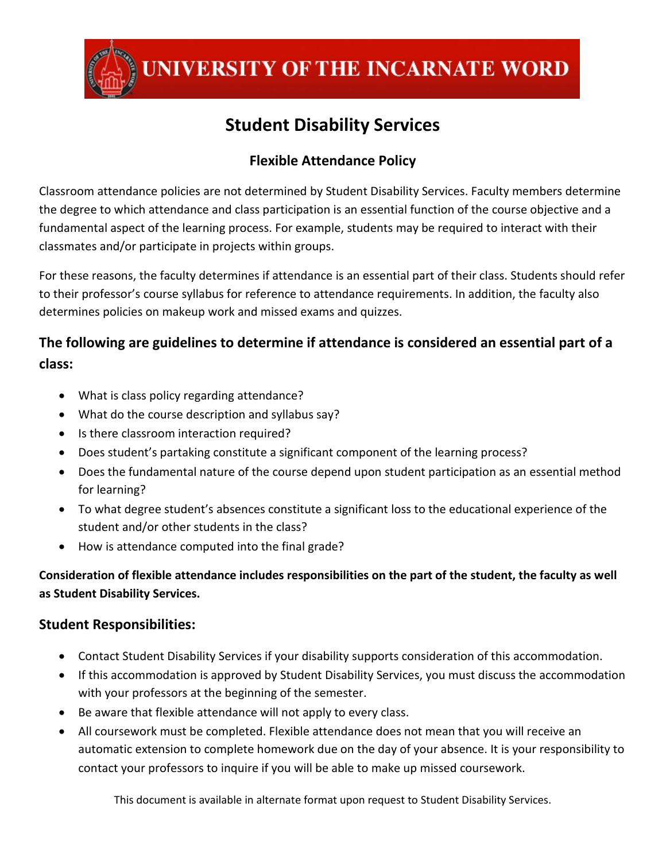

UNIVERSITY OF THE INCARNATE WORD

# **Student Disability Services**

## **Flexible Attendance Policy**

Classroom attendance policies are not determined by Student Disability Services. Faculty members determine the degree to which attendance and class participation is an essential function of the course objective and a fundamental aspect of the learning process. For example, students may be required to interact with their classmates and/or participate in projects within groups.

For these reasons, the faculty determines if attendance is an essential part of their class. Students should refer to their professor's course syllabus for reference to attendance requirements. In addition, the faculty also determines policies on makeup work and missed exams and quizzes.

## **The following are guidelines to determine if attendance is considered an essential part of a class:**

- What is class policy regarding attendance?
- What do the course description and syllabus say?
- Is there classroom interaction required?
- Does student's partaking constitute a significant component of the learning process?
- Does the fundamental nature of the course depend upon student participation as an essential method for learning?
- To what degree student's absences constitute a significant loss to the educational experience of the student and/or other students in the class?
- How is attendance computed into the final grade?

### **Consideration of flexible attendance includes responsibilities on the part of the student, the faculty as well as Student Disability Services.**

### **Student Responsibilities:**

- Contact Student Disability Services if your disability supports consideration of this accommodation.
- If this accommodation is approved by Student Disability Services, you must discuss the accommodation with your professors at the beginning of the semester.
- Be aware that flexible attendance will not apply to every class.
- All coursework must be completed. Flexible attendance does not mean that you will receive an automatic extension to complete homework due on the day of your absence. It is your responsibility to contact your professors to inquire if you will be able to make up missed coursework.

This document is available in alternate format upon request to Student Disability Services.